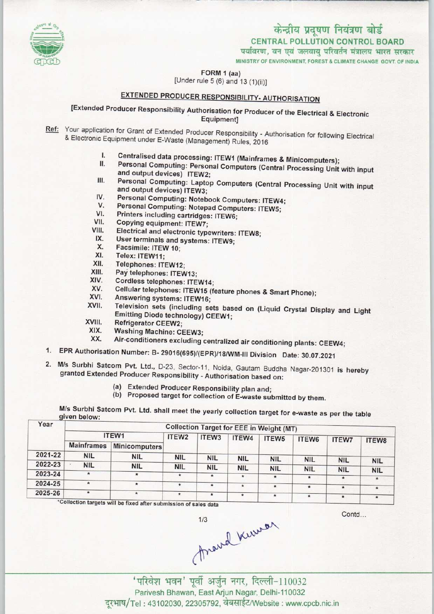

MINISTRY OF ENVIRONMENT, FOREST & CLIMATE CHANGE GOVT. OF INDIA

FORM 1 (aa)

[Under rule 5 (6) and 13 (1)(ii)]

# EXTENDED PRODUCER RESPONSIBILITY- AUTHORISATION

# [Extended Producer Responsibility Authorisation for Producer of the Electrical & Electronic Equipment]

- Ref: Your application for Grant of Extended Producer Responsibility Authorisation for following Electrical & Electronic Equipment under E-Waste (Management) Rules, 2016
	- I. Centralised data processing: ITEW1 (Mainframes & Minicomputers);<br>II. Personal Computing: Personal Computers (Out of D
	- I. Centralised data processing: ITEW1 (Mainframes & Minicomputers);<br>II. Personal Computing: Personal Computers (Central Processing Unit with input and output devices) ITEW2; II. Personal Computing: Personal Computers (Central Processing Unit with input<br>and output devices) ITEW2;<br>III. Personal Computing: Laptop Computers (Central Processing Unit with input<br>and output devices) ITEW3.
	- and output devices) ITEW3; III. Personal Computing: Laptop Computers (Central Processing Unit with input<br>and output devices) ITEW3;<br>IV. Personal Computing: Notebook Computers: ITEW4;<br>V. Personal Computing: Notebook Computers: ITEW4; Friesdal Computing: Laptop Computers (Central<br>and output devices) ITEW3;<br>V. Personal Computing: Notepad Computers: ITEW5;<br>V. Personal Computing: Notepad Computers: ITEW5;
	-
	- V. Personal Computing: Notepad Computers: ITEW5;<br>VI. Printers including cartridges: ITEW6;<br>VII. Copying equipment: ITEW7;<br>VIII. Flectrical and electronic types interesting ITEUS.
	- IV. Personal Computing: Notebook Com<br>V. Personal Computing: Notepad Comp<br>VI. Printers including cartridges: ITEW6;<br>VII. Conving equipment: ITEW7.
	-
	- Fill. Electrical and electronic typewriters: ITEW8;<br>IX. Liser terminals and evotama: ITEW9.
	- IX. User terminals and systems: ITEW9;<br>IX. Facsimile: ITEW 10;<br>X. Telex: ITEW11;<br>XI. Telephones: ITEW11;
	- X. Facsimile: ITEW 10;<br>XI. Telex: ITEW11:
	-
	- XI. Telex: ITEW11;<br>XII. Telephones: ITEW12;<br>XIII. Pav felephones: ITEW
	- XIII. Pay telephones: ITEW13;<br>XIV. Cordless telephones: ITE
	- $XIV.$  Cordless telephones: ITEW14;<br>XV. Cellular telephones: ITEW15 (6) XIV. Cordless telephones: ITEW14<br>XV. Cellular telephones: ITEW15<br>XVI. Answering systems: ITEW16;<br>XVII. Television sets (including of
	- XV. Cellular telephones: ITEW15 (feature phones & Smart Phone);
	-
	- XV. Cellular telephones: ITEW15 (feature phones & Smart Phone);<br>XVI. Answering systems: ITEW16;<br>XVII. Television sets (including sets based on (Liquid Crystal Display and Light<br>Emitting Diode technology) CEEW1: Emitting Diode technology) CEEW1; XVII. Television sets (inc.<br>Emitting Diode techn<br>XVIII. Refrigerator CEEW2;<br>XIX. Washing Machine: C
	-
	- XIX. Washing Machine: CEEW3;<br>XX. Air-conditioners excluding
	- Air-conditioners excluding centralized air conditioning plants: CEEW4;
- 1.EPR Authorisation Number: B- 29016(695)/(EPR)/18/WM-IN Division Date: 30.07.2021
- 2.M/s Surbhi Satcom Pvt. Ltd., D-23, Sector-11, Noida. Gautam Buddha Nagar-201301 is hereby granted Extended Producer Responsibility - Authorisation based on:
	- (a)Extended Producer Responsibility plan and;
	- (b) Proposed target for collection of E-waste submitted by them.

| Year    |                   |               |                   |            |            | Collection Target for EEE in Weight (MT) |            |              |            |
|---------|-------------------|---------------|-------------------|------------|------------|------------------------------------------|------------|--------------|------------|
|         | ITEW1             |               | ITEW <sub>2</sub> | ITEW3      | ITEW4      | ITEW <sub>5</sub>                        | ITEW6      | <b>ITEW7</b> | ITEW8      |
|         | <b>Mainframes</b> | Minicomputers |                   |            |            |                                          |            |              |            |
| 2021-22 | <b>NIL</b>        | <b>NIL</b>    | <b>NIL</b>        | <b>NIL</b> | <b>NIL</b> | <b>NIL</b>                               | <b>NIL</b> | <b>NIL</b>   |            |
| 2022-23 | <b>NIL</b>        | <b>NIL</b>    | <b>NIL</b>        | <b>NIL</b> | <b>NIL</b> | <b>NIL</b>                               | <b>NIL</b> | <b>NIL</b>   | <b>NIL</b> |
| 2023-24 | $\star$           | $\star$       | ۰                 | $\star$    | $\star$    | $\pmb{\ast}$                             | $\star$    | $\star$      | <b>NIL</b> |
| 2024-25 | $\star$           | $\star$       | $\star$           | $\star$    | $\star$    | $\pmb{\star}$                            | $\star$    | $\star$      | $\star$    |
| 2025-26 | $\star$           | $\star$       | $\star$           | $\star$    | $\star$    | $\star$                                  | $\star$    | $\star$      | $\star$    |

e fixed after submission of sales data

Contd...

thand kurser

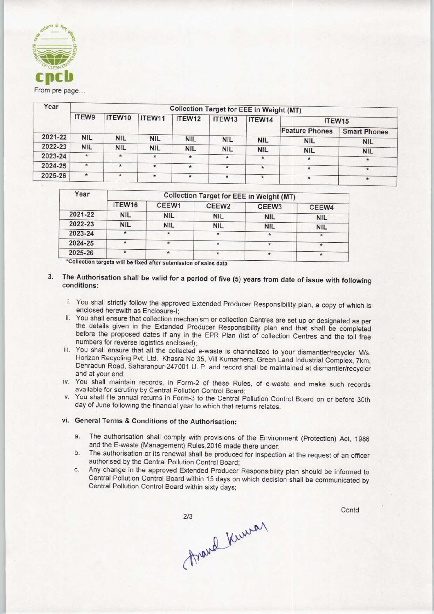

| <b>TO CLEAN BAN</b><br>cncb<br>From pre page |                |            |            |                                                 |            |            |                       |                     |
|----------------------------------------------|----------------|------------|------------|-------------------------------------------------|------------|------------|-----------------------|---------------------|
| Year                                         |                |            |            | <b>Collection Target for EEE in Weight (MT)</b> |            |            |                       |                     |
|                                              | ITEW9          | ITEW10     | ITEW11     | ITEW12                                          | ITEW13     | ITEW14     | ITEW15                |                     |
|                                              |                |            |            |                                                 |            |            | <b>Feature Phones</b> | <b>Smart Phones</b> |
| 2021-22                                      | <b>NIL</b>     | <b>NIL</b> | <b>NIL</b> | <b>NIL</b>                                      | <b>NIL</b> | <b>NIL</b> | <b>NIL</b>            | <b>NIL</b>          |
| 2022-23                                      | <b>NIL</b>     | <b>NIL</b> | <b>NIL</b> | <b>NIL</b>                                      | <b>NIL</b> | <b>NIL</b> | <b>NIL</b>            | <b>NIL</b>          |
| 2023-24                                      | $\frac{d}{dt}$ | ŵ.         | $\star$    | $\star$                                         | $\star$    | $\ast$     | $\pmb{\ast}$          | $\star$             |
| 2024-25                                      | $\pmb{\ast}$   | $\star$    | $\star$    | $*$                                             | $\star$    | $\star$    | $\star$               | $\star$             |
| 2025-26                                      | $\star$        | $\star$    | $\star$    | $\star$                                         | $\star$    | $\star$    | *                     | $\pmb{\ast}$        |

| Year    | <b>Collection Target for EEE in Weight (MT)</b> |            |                   |                   |               |  |  |  |
|---------|-------------------------------------------------|------------|-------------------|-------------------|---------------|--|--|--|
|         | ITEW16                                          | CEEW1      | CEEW <sub>2</sub> | CEEW <sub>3</sub> | CEEW4         |  |  |  |
| 2021-22 | <b>NIL</b>                                      | <b>NIL</b> | <b>NIL</b>        | <b>NIL</b>        | <b>NIL</b>    |  |  |  |
| 2022-23 | <b>NIL</b>                                      | <b>NIL</b> | <b>NIL</b>        | <b>NIL</b>        | <b>NIL</b>    |  |  |  |
| 2023-24 |                                                 | $\star$    | 貴                 | $\mathbf{r}$      | $\frac{1}{2}$ |  |  |  |
| 2024-25 |                                                 | $\bullet$  | $\star$           |                   |               |  |  |  |
| 2025-26 |                                                 |            | $\star$           | ÷                 |               |  |  |  |

### 3. The Authorisation shall be valid for a period of five (5) years from date of issue with following conditions:

- i. You shall strictly follow the approved Extended Producer Responsibility plan, a copy of which is enclosed herewith as Enclosure-I;
- ii. You shall ensure that collection mechanism or collection Centres are set up or designated as per the details given in the Extended Producer Responsibility plan and that shall be completed before the proposed dates if any in the EPR Plan (list of collection Centres and the toil free numbers for reverse logistics enclosed);
- iii. You shall ensure that all the collected e-waste is channelized to your dismantler/recycler M/s. Horizon Recycling Pvt. Ltd. Khasra No 35, Vill Kumarhera, Green Land Industrial Complex, 7km, Dehradun Road, Saharanpur-247001 U. P. and record shall be maintained at dismantler/recycler and at your end.
- iv. You shall maintain records, in Form-2 of these Rules, of e-waste and make such records available for scrutiny by Central Pollution Control Board;
- v. You shall file annual returns in Form-3 to the Central Pollution Control Board on or before 30th day of June following the financial year to which that returns relates.

### vi. General Terms & Conditions of the Authorisation:

- a.The authorisation shall comply with provisions of the Environment (Protection) Act, <sup>1986</sup> and the E-waste (Management) Rules,2016 made there under;
- b.The authorisation or its renewal shall be produced for inspection at the request of an officer authorised by the Central Pollution Control Board;
- c.Any change in the approved Extended Producer Responsibility plan should be informed to Central Pollution Control Board within 15 days on which decision shall be communicated by Central Pollution Control Board within sixty days;

Frand Kumar

**Contd**